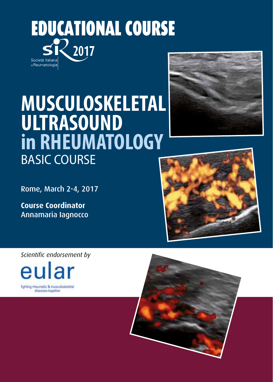EDUCATIONAL COURSE **2017** Società Italiana di Reumatologia

# **MUSCULOSKELETAL ULTRASOUND in RHEUMATOLOGY** BASIC COURSE

Rome, March 2-4, 2017

**Course Coordinator** Annamaria Iagnocco

*Scientific endorsement by*







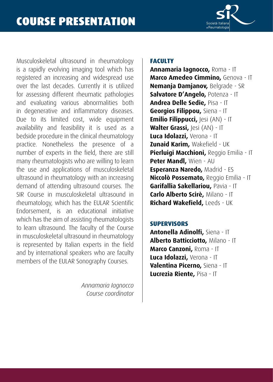

Musculoskeletal ultrasound in rheumatology is a rapidly evolving imaging tool which has registered an increasing and widespread use over the last decades. Currently it is utilized for assessing different rheumatic pathologies and evaluating various abnormalities both in degenerative and inflammatory diseases. Due to its limited cost, wide equipment availability and feasibility it is used as a bedside procedure in the clinical rheumatology practice. Nonetheless the presence of a number of experts in the field, there are still many rheumatologists who are willing to learn the use and applications of musculoskeletal ultrasound in rheumatology with an increasing demand of attending ultrasound courses. The SIR Course in musculoskeletal ultrasound in rheumatology, which has the EULAR Scientific Endorsement, is an educational initiative which has the aim of assisting rheumatologists to learn ultrasound. The faculty of the Course in musculoskeletal ultrasound in rheumatology is represented by Italian experts in the field and by international speakers who are faculty members of the EULAR Sonography Courses.

> *Annamaria Iagnocco Course coordinator*

#### **FACULTY**

**Annamaria Iagnocco,** Roma - IT **Marco Amedeo Cimmino,** Genova - IT **Nemanja Damjanov,** Belgrade - SR **Salvatore D'Angelo,** Potenza - IT **Andrea Delle Sedie,** Pisa - IT **Georgios Filippou,** Siena - IT **Emilio Filippucci, Jesi (AN) - IT** Walter Grassi, Jesi (AN) - IT **Luca Idolazzi,** Verona - IT **Zunaid Karim,** Wakefield - UK **Pierluigi Macchioni,** Reggio Emilia - IT **Peter Mandl,** Wien - AU **Esperanza Naredo,** Madrid - ES **Niccolò Possemato,** Reggio Emilia - IT **Garifallia Sakellariou,** Pavia - IT **Carlo Alberto Scirè,** Milano - IT **Richard Wakefield,** Leeds - UK

#### **SUPERVISORS**

**Antonella Adinolfi,** Siena - IT **Alberto Batticciotto,** Milano - IT **Marco Canzoni,** Roma - IT **Luca Idolazzi,** Verona - IT **Valentina Picerno,** Siena - IT **Lucrezia Riente,** Pisa - IT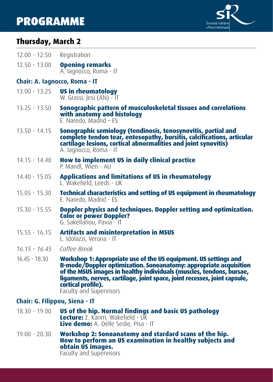# PROGRAMME



# **Thursday, March 2**

| $12.00 - 12.50$                | Registration                                                                                                                                                                                                                                                                                                                                |  |
|--------------------------------|---------------------------------------------------------------------------------------------------------------------------------------------------------------------------------------------------------------------------------------------------------------------------------------------------------------------------------------------|--|
| $12.50 - 13.00$                | <b>Opening remarks</b><br>A. lagnocco, Roma - IT                                                                                                                                                                                                                                                                                            |  |
| Chair: A. Iagnocco, Roma - IT  |                                                                                                                                                                                                                                                                                                                                             |  |
| $13.00 - 13.25$                | <b>US in rheumatology</b><br>W. Grassi, Jesi (AN) - IT                                                                                                                                                                                                                                                                                      |  |
| $13.25 - 13.50$                | Sonographic pattern of musculoskeletal tissues and correlations<br>with anatomy and histology<br>E. Naredo, Madrid - ES                                                                                                                                                                                                                     |  |
| $13.50 - 14.15$                | Sonographic semiology (tendinosis, tenosynovitis, partial and<br>complete tendon tear, entesopathy, bursitis, calcifications, articular<br>cartilage lesions, cortical abnormalities and joint synovitis)<br>A. lagnocco, Roma - IT                                                                                                         |  |
| 14.15 - 14.40                  | How to implement US in daily clinical practice<br>P. Mandl, Wien - AU                                                                                                                                                                                                                                                                       |  |
| 14.40 - 15.05                  | <b>Applications and limitations of US in rheumatology</b><br>L. Wakefield, Leeds - UK                                                                                                                                                                                                                                                       |  |
| $15.05 - 15.30$                | <b>Technical characteristics and setting of US equipment in rheumatology</b><br>E. Naredo, Madrid - ES                                                                                                                                                                                                                                      |  |
| $15.30 - 15.55$                | Doppler physics and techniques. Doppler setting and optimization.<br><b>Color or power Doppler?</b><br>G. Sakellariou, Pavia - IT                                                                                                                                                                                                           |  |
| $15.55 - 16.15$                | <b>Artifacts and misinterpretation in MSUS</b><br>L. Idolazzi, Verona - IT                                                                                                                                                                                                                                                                  |  |
| $16.15 - 16.45$                | Coffee Break                                                                                                                                                                                                                                                                                                                                |  |
| $16.45 - 18.30$                | Workshop 1: Appropriate use of the US equipment. US settings and<br>B-mode/Doppler optimization. Sonoanatomy: appropriate acquisition<br>of the MSUS images in healthy individuals (muscles, tendons, bursae,<br>ligaments, nerves, cartilage, joint space, joint recesses, joint capsule,<br>cortical profile).<br>Faculty and Supervisors |  |
| Chair: G. Filippou, Siena - IT |                                                                                                                                                                                                                                                                                                                                             |  |
| $18.30 - 19.00$                | US of the hip. Normal findings and basic US pathology<br>Lecture: Z. Karim, Wakefield - UK<br>Live demo: A. Delle Sedie, Pisa - IT                                                                                                                                                                                                          |  |
| $19.00 - 20.30$                | Workshop 2: Sonoanatomy and stardard scans of the hip.<br>How to perform an US examination in healthy subjects and<br>obtain US images.                                                                                                                                                                                                     |  |

Faculty and Supervisors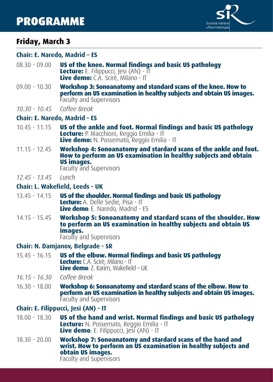# PROGRAMME



# **Friday, March 3**

#### **Chair: E. Naredo, Madrid – ES**

- 08.30 09.00 **US of the knee. Normal findings and basic US pathology Lecture:** E. Filippucci, Jesi (AN) - IT **Live demo:** C.A. Scirè, Milano - IT
- 09.00 10.30 **Workshop 3: Sonoanatomy and standard scans of the knee. How to perform an US examination in healthy subjects and obtain US images.** Faculty and Supervisors
- *10.30 10.45 Coffee Break*

#### **Chair: E. Naredo, Madrid - ES**

- 10.45 11.15 **US of the ankle and foot. Normal findings and basic US pathology Lecture:** P. Macchioni, Reggio Emilia - IT **Live demo:** N. Possemato, Reggio Emilia - IT
- 11.15 12.45 **Workshop 4: Sonoanatomy and stardard scans of the ankle and foot. How to perform an US examination in healthy subjects and obtain US images.**

Faculty and Supervisors

*12.45 - 13.45 Lunch*

#### **Chair: L. Wakefield, Leeds - UK**

- 13.45 14.15 **US of the shoulder. Normal findings and basic US pathology Lecture:** A. Delle Sedie, Pisa - IT **Live demo**: E. Naredo, Madrid - ES
- 14.15 15.45 **Workshop 5: Sonoanatomy and stardard scans of the shoulder. How to perform an US examination in healthy subjects and obtain US images.**

Faculty and Supervisors

#### **Chair: N. Damjanov, Belgrade - SR**

15.45 - 16.15 **US of the elbow. Normal findings and basic US pathology Lecture:** C.A. Scirè, Milano - IT **Live demo**: Z. Karim, Wakefield – UK

*16.15 - 16.30 Coffee Break*

16.30 - 18.00 **Workshop 6: Sonoanatomy and stardard scans of the elbow. How to perform an US examination in healthy subjects and obtain US images.** Faculty and Supervisors

## **Chair: E. Filippucci, Jesi (AN) - IT**

- 18.00 18.30 **US of the hand and wrist. Normal findings and basic US pathology Lecture:** N. Possemato, Reggio Emilia - IT **Live demo**: E. Filippucci, Jesi (AN) - IT
- 18.30 20.00 **Workshop 7: Sonoanatomy and stardard scans of the hand and wrist. How to perform an US examination in healthy subjects and obtain US images.** Faculty and Supervisors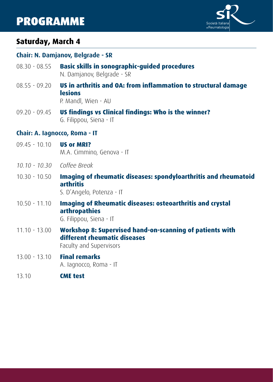# PROGRAMME



# **Saturday, March 4**

#### **Chair: N. Damjanov, Belgrade - SR**

- 08.30 08.55 **Basic skills in sonographic-guided procedures** N. Damjanov, Belgrade - SR
- 08.55 09.20 **US in arthritis and OA: from inflammation to structural damage lesions**

P. Mandl, Wien - AU

09.20 - 09.45 **US findings vs Clinical findings: Who is the winner?** G. Filippou, Siena - IT

#### **Chair: A. Iagnocco, Roma - IT**

- 09.45 10.10 **US or MRI?** M.A. Cimmino, Genova - IT
- *10.10 10.30 Coffee Break*
- 10.30 10.50 **Imaging of rheumatic diseases: spondyloarthritis and rheumatoid arthritis**

S. D'Angelo, Potenza - IT

- 10.50 11.10 **Imaging of Rheumatic diseases: osteoarthritis and crystal arthropathies**  G. Filippou, Siena - IT
- 11.10 13.00 **Workshop 8: Supervised hand-on-scanning of patients with different rheumatic diseases**

Faculty and Supervisors

- 13.00 13.10 **Final remarks** A. Iagnocco, Roma - IT
- 13.10 **CME test**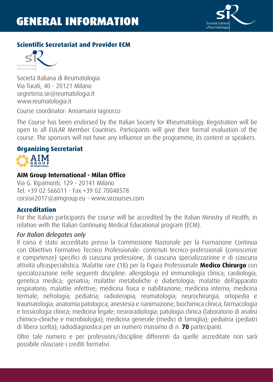

# **Scientific Secretariat and Provider ECM**



Società Italiana di Reumatologia Via Turati, 40 - 20121 Milano segreteria.sir@reumatologia.it www.reumatologia.it

Course coordinator: Annamaria Iagnocco

The Course has been endorsed by the Italian Society for Rheumatology. Registration will be open to all EULAR Member Countries. Participants will give their formal evaluation of the course. The sponsors will not have any influence on the programme, its content or speakers.

# **Organizing Secretariat**



# **AIM Group International - Milan Office**

Via G. Ripamonti, 129 - 20141 Milano Tel. +39 02 566011 - Fax +39 02 70048578 corsisir2017@aimgroup.eu - www.sircourses.com

#### **Accreditation**

For the Italian participants the course will be accredited by the Italian Ministry of Health, in relation with the Italian Continuing Medical Educational program (ECM).

#### *For Italian delegates only*

Il corso è stato accreditato presso la Commissione Nazionale per la Formazione Continua con Obiettivo Formativo Tecnico Professionale: contenuti tecnico-professionali (conoscenze e competenze) specifici di ciascuna professione, di ciascuna specializzazione e di ciascuna attività ultraspecialistica. Malattie rare (18) per la Figura Professionale **Medico Chirurgo** con specializzazione nelle seguenti discipline: allergologia ed immunologia clinica; cardiologia; genetica medica; geriatria; malattie metaboliche e diabetologia; malattie dell'apparato respiratorio; malattie infettive; medicina fisica e riabilitazione; medicina interna; medicina termale; nefrologia; pediatria; radioterapia; reumatologia; neurochirurgia; ortopedia e traumatologia; anatomia patologica; anestesia e rianimazione; biochimica clinica; farmacologia e tossicologia clinica; medicina legale; neuroradiologia; patologia clinica (laboratorio di analisi chimico-cliniche e microbiologia); medicina generale (medici di famiglia); pediatria (pediatri di libera scelta); radiodiagnostica per un numero massimo di n. **70** partecipanti.

Oltre tale numero e per professioni/discipline differenti da quelle accreditate non sarà possibile rilasciare i crediti formativi.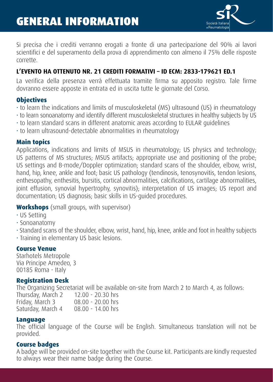

Si precisa che i crediti verranno erogati a fronte di una partecipazione del 90% ai lavori scientifici e del superamento della prova di apprendimento con almeno il 75% delle risposte corrette.

# **L'EVENTO HA OTTENUTO NR. 21 CREDITI FORMATIVI – ID ECM: 2833-179621 ED.1**

La verifica della presenza verrà effettuata tramite firma su apposito registro. Tale firme dovranno essere apposte in entrata ed in uscita tutte le giornate del Corso.

### **Objectives**

- to learn the indications and limits of musculoskeletal (MS) ultrasound (US) in rheumatology
- to learn sonoanatomy and identify different musculoskeletal structures in healthy subjects by US
- to learn standard scans in different anatomic areas according to EULAR guidelines
- to learn ultrasound-detectable abnormalities in rheumatology

#### **Main topics**

Applications, indications and limits of MSUS in rheumatology; US physics and technology; US patterns of MS structures; MSUS artifacts; appropriate use and positioning of the probe; US settings and B-mode/Doppler optimization; standard scans of the shoulder, elbow, wrist, hand, hip, knee, ankle and foot; basic US pathology (tendinosis, tenosynovitis, tendon lesions, enthesopathy, enthesitis, bursitis, cortical abnormalities, calcifications, cartilage abnormalities, joint effusion, synovial hypertrophy, synovitis); interpretation of US images; US report and documentation; US diagnosis; basic skills in US-guided procedures.

# **Workshops** (small groups, with supervisor)

- US Setting
- Sonoanatomy
- Standard scans of the shoulder, elbow, wrist, hand, hip, knee, ankle and foot in healthy subjects • Training in elementary US basic lesions.

#### **Course Venue**

Starhotels Metropole Via Principe Amedeo, 3 00185 Roma - Italy

### **Registration Desk**

The Organizing Secretariat will be available on-site from March 2 to March 4, as follows:

| Thursday, March 2 | $12.00 - 20.30$ hrs |
|-------------------|---------------------|
| Friday, March 3   | $08.00 - 20.00$ hrs |
| Saturday, March 4 | $08.00 - 14.00$ hrs |

#### **Language**

The official language of the Course will be English. Simultaneous translation will not be provided.

### **Course badges**

A badge will be provided on-site together with the Course kit. Participants are kindly requested to always wear their name badge during the Course.